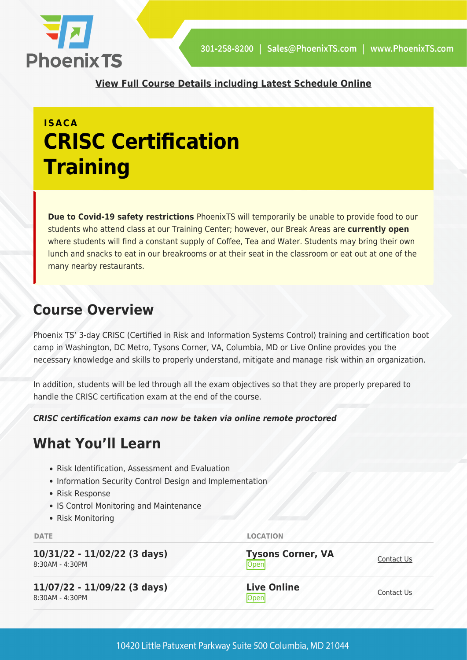

**[View Full Course Details including Latest Schedule Online](https://phoenixts.com/training-courses/crisc-certification-training/)**

## **ISACA CRISC Certification Training**

**Due to Covid-19 safety restrictions** PhoenixTS will temporarily be unable to provide food to our students who attend class at our Training Center; however, our Break Areas are **currently open** where students will find a constant supply of Coffee, Tea and Water. Students may bring their own lunch and snacks to eat in our breakrooms or at their seat in the classroom or eat out at one of the many nearby restaurants.

## **Course Overview**

Phoenix TS' 3-day CRISC (Certified in Risk and Information Systems Control) training and certification boot camp in Washington, DC Metro, Tysons Corner, VA, Columbia, MD or Live Online provides you the necessary knowledge and skills to properly understand, mitigate and manage risk within an organization.

In addition, students will be led through all the exam objectives so that they are properly prepared to handle the CRISC certification exam at the end of the course.

*CRISC certification exams can now be taken via online remote proctored* 

## **What You'll Learn**

- Risk Identification, Assessment and Evaluation
- Information Security Control Design and Implementation
- Risk Response
- IS Control Monitoring and Maintenance
- Risk Monitoring

**DATE LOCATION**

| 10/31/22 - 11/02/22 (3 days)<br>8:30AM - 4:30PM | <b>Tysons Corner, VA</b><br>Open | Contact Us |
|-------------------------------------------------|----------------------------------|------------|
| 11/07/22 - 11/09/22 (3 days)<br>8:30AM - 4:30PM | <b>Live Online</b><br>Open       | Contact Us |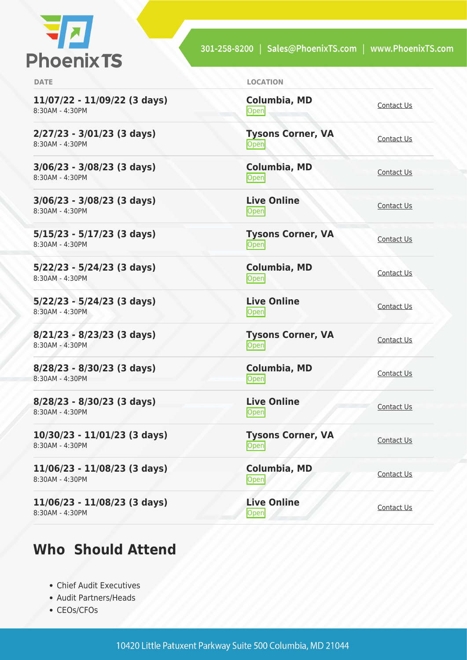

301-258-8200 | Sales@PhoenixTS.com | www.PhoenixTS.com

**11/07/22 - 11/09/22 (3 days)** 8:30AM - 4:30PM

**2/27/23 - 3/01/23 (3 days)** 8:30AM - 4:30PM

**3/06/23 - 3/08/23 (3 days)** 8:30AM - 4:30PM

**3/06/23 - 3/08/23 (3 days)** 8:30AM - 4:30PM

**5/15/23 - 5/17/23 (3 days)** 8:30AM - 4:30PM

**5/22/23 - 5/24/23 (3 days)** 8:30AM - 4:30PM

**5/22/23 - 5/24/23 (3 days)** 8:30AM - 4:30PM

**8/21/23 - 8/23/23 (3 days)** 8:30AM - 4:30PM

**8/28/23 - 8/30/23 (3 days)** 8:30AM - 4:30PM

**8/28/23 - 8/30/23 (3 days)** 8:30AM - 4:30PM

**10/30/23 - 11/01/23 (3 days)** 8:30AM - 4:30PM

**11/06/23 - 11/08/23 (3 days)** 8:30AM - 4:30PM

**11/06/23 - 11/08/23 (3 days)** 8:30AM - 4:30PM

## **Who Should Attend**

- Chief Audit Executives
- Audit Partners/Heads
- CEOs/CFOs

| <b>DATE</b> | <b>LOCATION</b> |
|-------------|-----------------|
|             |                 |

**Columbia, MD [Contact Us](https://phoenixts.com/schedule/more-info/?class=22099)**<br>
Open

**Tysons Corner, VA** <u>Open</u>

**Columbia, MD** [Contact Us](https://phoenixts.com/schedule/more-info/?class=28671)<br>
Open Contact Us

**Live Online** <u>[Contact Us](https://phoenixts.com/schedule/more-info/?class=28675)</u>

**Tysons Corner, VA** <u>Open</u> [Contact Us](https://phoenixts.com/schedule/more-info/?class=28668)

**Columbia, MD [Contact Us](https://phoenixts.com/schedule/more-info/?class=28672)**<br>
Open

**Live Online** <u>Open</u> [Contact Us](https://phoenixts.com/schedule/more-info/?class=28676) Contact Us

**Columbia, MD [Contact Us](https://phoenixts.com/schedule/more-info/?class=28673)**<br>Open

**Live Online**

**Live Online**

10420 Little Patuxent Parkway Suite 500 Columbia, MD 21044

**Columbia, MD**

**Open** [Contact Us](https://phoenixts.com/schedule/more-info/?class=28669)

<u>Open</u> [Contact Us](https://phoenixts.com/schedule/more-info/?class=28677)

**Tysons Corner, VA Open** [Contact Us](https://phoenixts.com/schedule/more-info/?class=28670)

Open [Contact Us](https://phoenixts.com/schedule/more-info/?class=28674)

**[Contact Us](https://phoenixts.com/schedule/more-info/?class=28678)** 

**Tysons Corner, VA**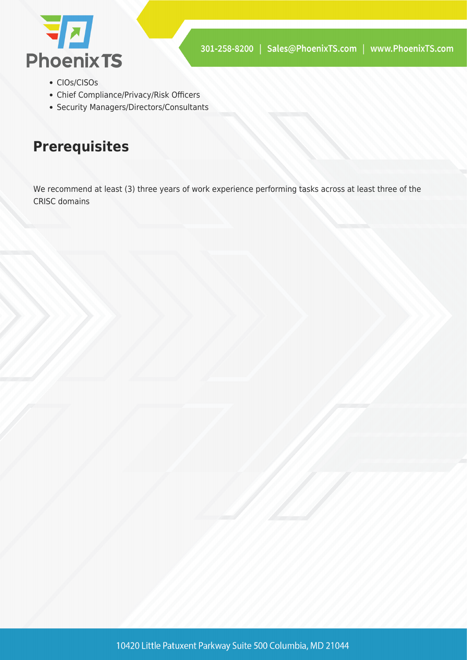

- CIOs/CISOs
- Chief Compliance/Privacy/Risk Officers
- Security Managers/Directors/Consultants

## **Prerequisites**

We recommend at least (3) three years of work experience performing tasks across at least three of the CRISC domains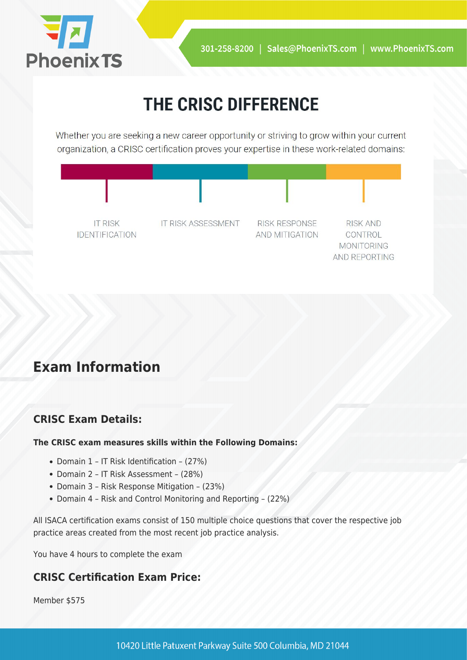

# THE CRISC DIFFERENCE

Whether you are seeking a new career opportunity or striving to grow within your current organization, a CRISC certification proves your expertise in these work-related domains:



## **Exam Information**

#### **CRISC Exam Details:**

#### **The CRISC exam measures skills within the Following Domains:**

- Domain 1 IT Risk Identification (27%)
- Domain 2 IT Risk Assessment (28%)
- Domain 3 Risk Response Mitigation (23%)
- Domain 4 Risk and Control Monitoring and Reporting (22%)

All ISACA certification exams consist of 150 multiple choice questions that cover the respective job practice areas created from the most recent job practice analysis.

You have 4 hours to complete the exam

#### **CRISC Certification Exam Price:**

Member \$575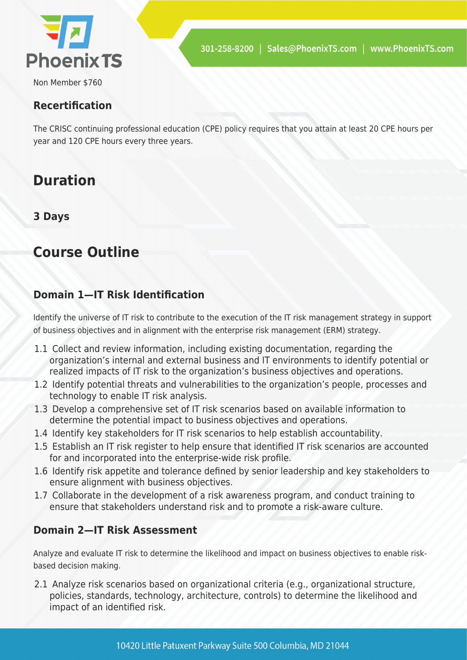

Non Member \$760

#### **Recertification**

The CRISC continuing professional education (CPE) policy requires that you attain at least 20 CPE hours per year and 120 CPE hours every three years.

## **Duration**

**3 Days**

## **Course Outline**

#### **Domain 1—IT Risk Identification**

Identify the universe of IT risk to contribute to the execution of the IT risk management strategy in support of business objectives and in alignment with the enterprise risk management (ERM) strategy.

- 1.1 Collect and review information, including existing documentation, regarding the organization's internal and external business and IT environments to identify potential or realized impacts of IT risk to the organization's business objectives and operations.
- 1.2 Identify potential threats and vulnerabilities to the organization's people, processes and technology to enable IT risk analysis.
- 1.3 Develop a comprehensive set of IT risk scenarios based on available information to determine the potential impact to business objectives and operations.
- 1.4 Identify key stakeholders for IT risk scenarios to help establish accountability.
- 1.5 Establish an IT risk register to help ensure that identified IT risk scenarios are accounted for and incorporated into the enterprise-wide risk profile.
- 1.6 Identify risk appetite and tolerance defined by senior leadership and key stakeholders to ensure alignment with business objectives.
- 1.7 Collaborate in the development of a risk awareness program, and conduct training to ensure that stakeholders understand risk and to promote a risk-aware culture.

#### **Domain 2—IT Risk Assessment**

Analyze and evaluate IT risk to determine the likelihood and impact on business objectives to enable riskbased decision making.

2.1 Analyze risk scenarios based on organizational criteria (e.g., organizational structure, policies, standards, technology, architecture, controls) to determine the likelihood and impact of an identified risk.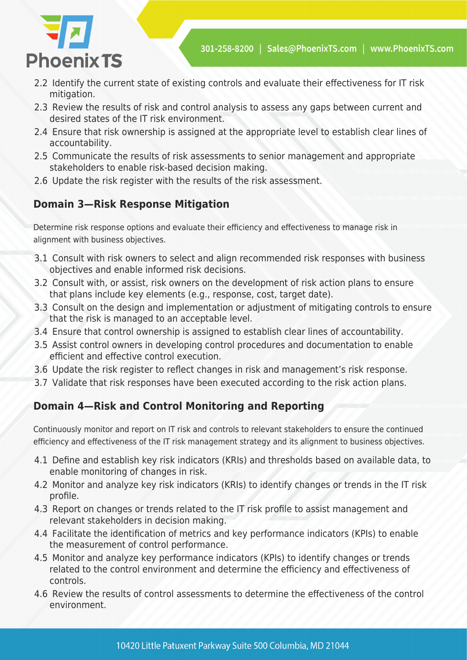



- 2.2 Identify the current state of existing controls and evaluate their effectiveness for IT risk mitigation.
- 2.3 Review the results of risk and control analysis to assess any gaps between current and desired states of the IT risk environment.
- 2.4 Ensure that risk ownership is assigned at the appropriate level to establish clear lines of accountability.
- 2.5 Communicate the results of risk assessments to senior management and appropriate stakeholders to enable risk-based decision making.
- 2.6 Update the risk register with the results of the risk assessment.

### **Domain 3—Risk Response Mitigation**

Determine risk response options and evaluate their efficiency and effectiveness to manage risk in alignment with business objectives.

- 3.1 Consult with risk owners to select and align recommended risk responses with business objectives and enable informed risk decisions.
- 3.2 Consult with, or assist, risk owners on the development of risk action plans to ensure that plans include key elements (e.g., response, cost, target date).
- 3.3 Consult on the design and implementation or adjustment of mitigating controls to ensure that the risk is managed to an acceptable level.
- 3.4 Ensure that control ownership is assigned to establish clear lines of accountability.
- 3.5 Assist control owners in developing control procedures and documentation to enable efficient and effective control execution.
- 3.6 Update the risk register to reflect changes in risk and management's risk response.
- 3.7 Validate that risk responses have been executed according to the risk action plans.

#### **Domain 4—Risk and Control Monitoring and Reporting**

Continuously monitor and report on IT risk and controls to relevant stakeholders to ensure the continued efficiency and effectiveness of the IT risk management strategy and its alignment to business objectives.

- 4.1 Define and establish key risk indicators (KRIs) and thresholds based on available data, to enable monitoring of changes in risk.
- 4.2 Monitor and analyze key risk indicators (KRIs) to identify changes or trends in the IT risk profile.
- 4.3 Report on changes or trends related to the IT risk profile to assist management and relevant stakeholders in decision making.
- 4.4 Facilitate the identification of metrics and key performance indicators (KPIs) to enable the measurement of control performance.
- 4.5 Monitor and analyze key performance indicators (KPIs) to identify changes or trends related to the control environment and determine the efficiency and effectiveness of controls.
- 4.6 Review the results of control assessments to determine the effectiveness of the control environment.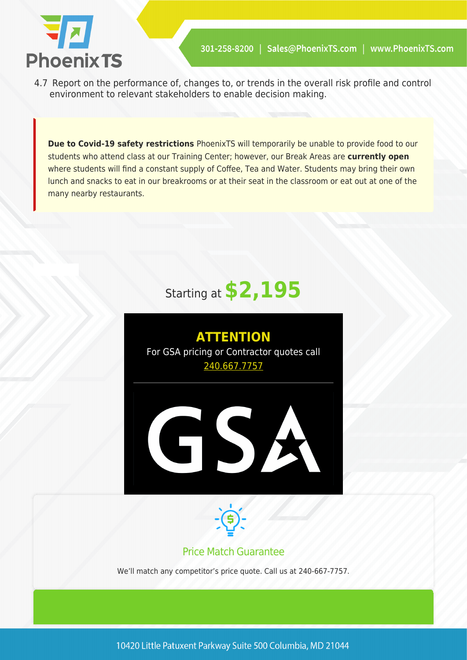

4.7 Report on the performance of, changes to, or trends in the overall risk profile and control environment to relevant stakeholders to enable decision making.

**Due to Covid-19 safety restrictions** PhoenixTS will temporarily be unable to provide food to our students who attend class at our Training Center; however, our Break Areas are **currently open** where students will find a constant supply of Coffee, Tea and Water. Students may bring their own lunch and snacks to eat in our breakrooms or at their seat in the classroom or eat out at one of the many nearby restaurants.

# Starting at **\$2,195**







#### Price Match Guarantee

We'll match any competitor's price quote. Call us at 240-667-7757.

10420 Little Patuxent Parkway Suite 500 Columbia, MD 21044